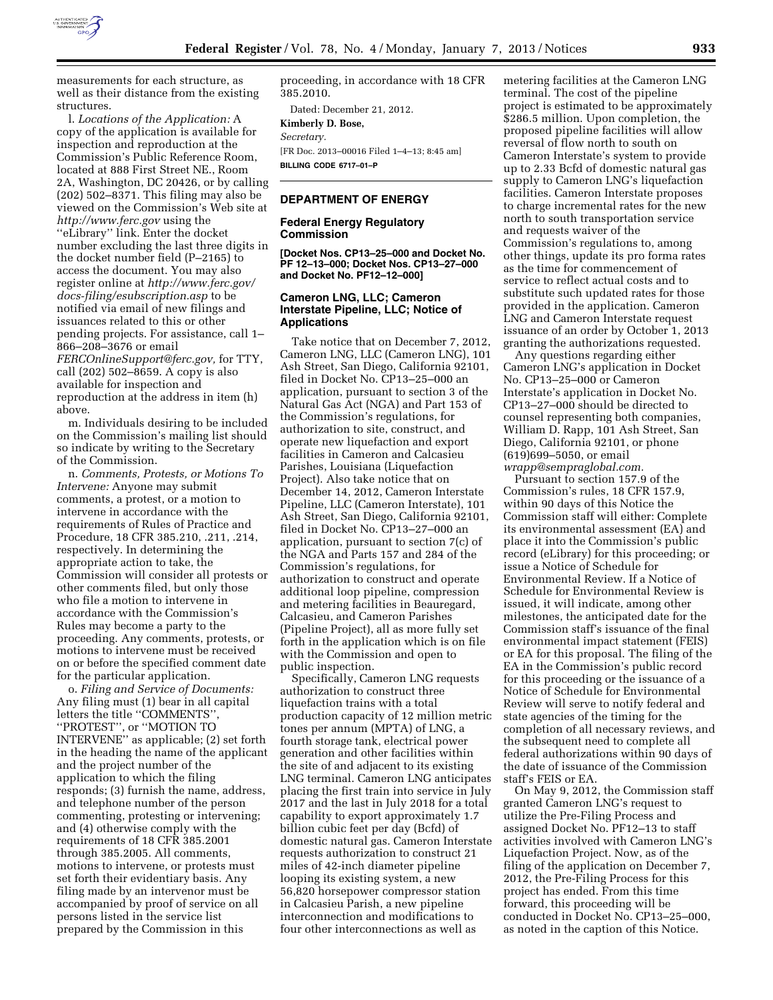

measurements for each structure, as well as their distance from the existing structures.

l. *Locations of the Application:* A copy of the application is available for inspection and reproduction at the Commission's Public Reference Room, located at 888 First Street NE., Room 2A, Washington, DC 20426, or by calling (202) 502–8371. This filing may also be viewed on the Commission's Web site at *<http://www.ferc.gov>*using the ''eLibrary'' link. Enter the docket number excluding the last three digits in the docket number field (P–2165) to access the document. You may also register online at *[http://www.ferc.gov/](http://www.ferc.gov/docs-filing/esubscription.asp) [docs-filing/esubscription.asp](http://www.ferc.gov/docs-filing/esubscription.asp)* to be notified via email of new filings and issuances related to this or other pending projects. For assistance, call 1– 866–208–3676 or email *[FERCOnlineSupport@ferc.gov,](mailto:FERCOnlineSupport@ferc.gov)* for TTY, call (202) 502–8659. A copy is also available for inspection and reproduction at the address in item (h) above.

m. Individuals desiring to be included on the Commission's mailing list should so indicate by writing to the Secretary of the Commission.

n. *Comments, Protests, or Motions To Intervene:* Anyone may submit comments, a protest, or a motion to intervene in accordance with the requirements of Rules of Practice and Procedure, 18 CFR 385.210, .211, .214, respectively. In determining the appropriate action to take, the Commission will consider all protests or other comments filed, but only those who file a motion to intervene in accordance with the Commission's Rules may become a party to the proceeding. Any comments, protests, or motions to intervene must be received on or before the specified comment date for the particular application.

o. *Filing and Service of Documents:*  Any filing must (1) bear in all capital letters the title ''COMMENTS'', ''PROTEST'', or ''MOTION TO INTERVENE'' as applicable; (2) set forth in the heading the name of the applicant and the project number of the application to which the filing responds; (3) furnish the name, address, and telephone number of the person commenting, protesting or intervening; and (4) otherwise comply with the requirements of 18 CFR 385.2001 through 385.2005. All comments, motions to intervene, or protests must set forth their evidentiary basis. Any filing made by an intervenor must be accompanied by proof of service on all persons listed in the service list prepared by the Commission in this

proceeding, in accordance with 18 CFR 385.2010.

Dated: December 21, 2012. **Kimberly D. Bose,**  *Secretary.*  [FR Doc. 2013–00016 Filed 1–4–13; 8:45 am] **BILLING CODE 6717–01–P** 

## **DEPARTMENT OF ENERGY**

#### **Federal Energy Regulatory Commission**

**[Docket Nos. CP13–25–000 and Docket No. PF 12–13–000; Docket Nos. CP13–27–000 and Docket No. PF12–12–000]** 

# **Cameron LNG, LLC; Cameron Interstate Pipeline, LLC; Notice of Applications**

Take notice that on December 7, 2012, Cameron LNG, LLC (Cameron LNG), 101 Ash Street, San Diego, California 92101, filed in Docket No. CP13–25–000 an application, pursuant to section 3 of the Natural Gas Act (NGA) and Part 153 of the Commission's regulations, for authorization to site, construct, and operate new liquefaction and export facilities in Cameron and Calcasieu Parishes, Louisiana (Liquefaction Project). Also take notice that on December 14, 2012, Cameron Interstate Pipeline, LLC (Cameron Interstate), 101 Ash Street, San Diego, California 92101, filed in Docket No. CP13–27–000 an application, pursuant to section 7(c) of the NGA and Parts 157 and 284 of the Commission's regulations, for authorization to construct and operate additional loop pipeline, compression and metering facilities in Beauregard, Calcasieu, and Cameron Parishes (Pipeline Project), all as more fully set forth in the application which is on file with the Commission and open to public inspection.

Specifically, Cameron LNG requests authorization to construct three liquefaction trains with a total production capacity of 12 million metric tones per annum (MPTA) of LNG, a fourth storage tank, electrical power generation and other facilities within the site of and adjacent to its existing LNG terminal. Cameron LNG anticipates placing the first train into service in July 2017 and the last in July 2018 for a total capability to export approximately 1.7 billion cubic feet per day (Bcfd) of domestic natural gas. Cameron Interstate requests authorization to construct 21 miles of 42-inch diameter pipeline looping its existing system, a new 56,820 horsepower compressor station in Calcasieu Parish, a new pipeline interconnection and modifications to four other interconnections as well as

metering facilities at the Cameron LNG terminal. The cost of the pipeline project is estimated to be approximately \$286.5 million. Upon completion, the proposed pipeline facilities will allow reversal of flow north to south on Cameron Interstate's system to provide up to 2.33 Bcfd of domestic natural gas supply to Cameron LNG's liquefaction facilities. Cameron Interstate proposes to charge incremental rates for the new north to south transportation service and requests waiver of the Commission's regulations to, among other things, update its pro forma rates as the time for commencement of service to reflect actual costs and to substitute such updated rates for those provided in the application. Cameron LNG and Cameron Interstate request issuance of an order by October 1, 2013 granting the authorizations requested.

Any questions regarding either Cameron LNG's application in Docket No. CP13–25–000 or Cameron Interstate's application in Docket No. CP13–27–000 should be directed to counsel representing both companies, William D. Rapp, 101 Ash Street, San Diego, California 92101, or phone (619)699–5050, or email *[wrapp@sempraglobal.com.](mailto:wrapp@sempraglobal.com)* 

Pursuant to section 157.9 of the Commission's rules, 18 CFR 157.9, within 90 days of this Notice the Commission staff will either: Complete its environmental assessment (EA) and place it into the Commission's public record (eLibrary) for this proceeding; or issue a Notice of Schedule for Environmental Review. If a Notice of Schedule for Environmental Review is issued, it will indicate, among other milestones, the anticipated date for the Commission staff's issuance of the final environmental impact statement (FEIS) or EA for this proposal. The filing of the EA in the Commission's public record for this proceeding or the issuance of a Notice of Schedule for Environmental Review will serve to notify federal and state agencies of the timing for the completion of all necessary reviews, and the subsequent need to complete all federal authorizations within 90 days of the date of issuance of the Commission staff's FEIS or EA.

On May 9, 2012, the Commission staff granted Cameron LNG's request to utilize the Pre-Filing Process and assigned Docket No. PF12–13 to staff activities involved with Cameron LNG's Liquefaction Project. Now, as of the filing of the application on December 7, 2012, the Pre-Filing Process for this project has ended. From this time forward, this proceeding will be conducted in Docket No. CP13–25–000, as noted in the caption of this Notice.